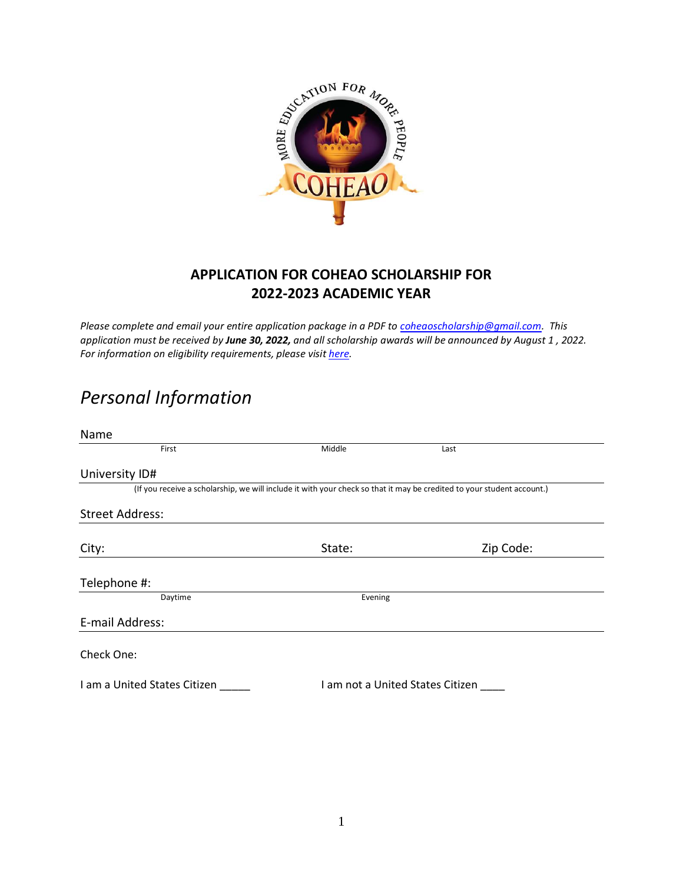

#### **APPLICATION FOR COHEAO SCHOLARSHIP FOR 2022-2023 ACADEMIC YEAR**

*Please complete and email your entire application package in a PDF t[o coheaoscholarship@gmail.com.](mailto:coheaoscholarship@gmail.com) This application must be received by June 30, 2022, and all scholarship awards will be announced by August 1 , 2022. For information on eligibility requirements, please visit [here.](http://www.coheao.com/wp-content/uploads/2021/03/2021-2022-COHEAO-QUESTIONS.pdf)* 

# *Personal Information*

| Name                                                                                                                   |                                  |           |
|------------------------------------------------------------------------------------------------------------------------|----------------------------------|-----------|
| First                                                                                                                  | Middle                           | Last      |
| University ID#                                                                                                         |                                  |           |
| (If you receive a scholarship, we will include it with your check so that it may be credited to your student account.) |                                  |           |
| <b>Street Address:</b>                                                                                                 |                                  |           |
| City:                                                                                                                  | State:                           | Zip Code: |
| Telephone #:                                                                                                           |                                  |           |
| Daytime                                                                                                                | Evening                          |           |
| E-mail Address:                                                                                                        |                                  |           |
| Check One:                                                                                                             |                                  |           |
| I am a United States Citizen                                                                                           | I am not a United States Citizen |           |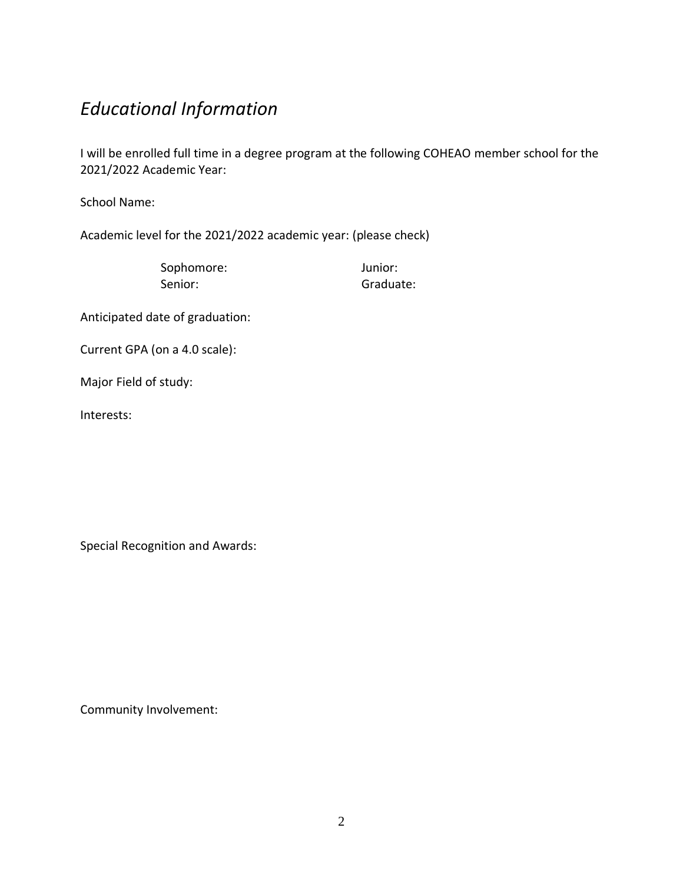# *Educational Information*

I will be enrolled full time in a degree program at the following COHEAO member school for the 2021/2022 Academic Year:

School Name:

Academic level for the 2021/2022 academic year: (please check)

Sophomore: Junior: Senior: Graduate:

Anticipated date of graduation:

Current GPA (on a 4.0 scale):

Major Field of study:

Interests:

Special Recognition and Awards:

Community Involvement: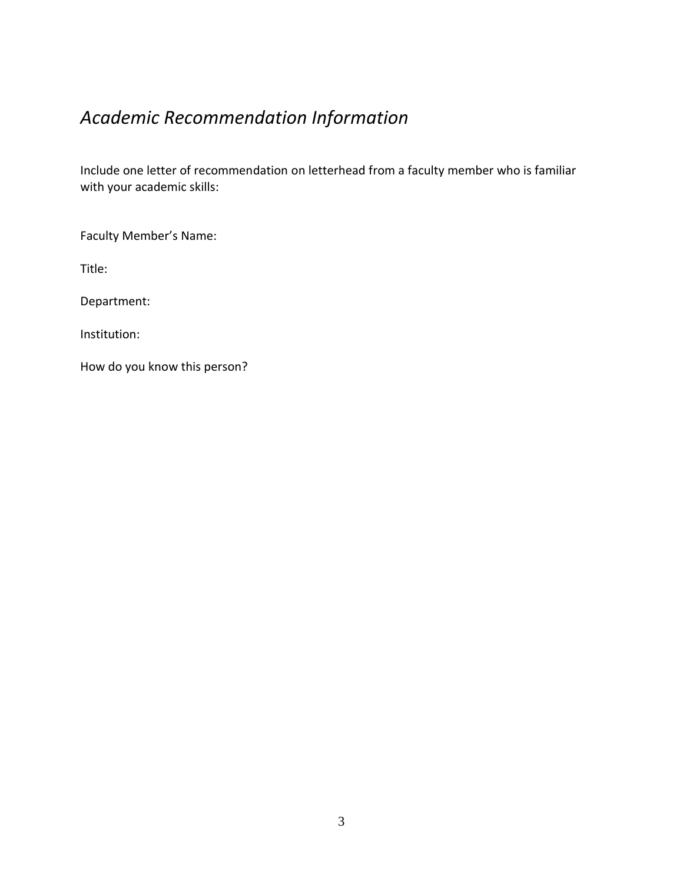# *Academic Recommendation Information*

Include one letter of recommendation on letterhead from a faculty member who is familiar with your academic skills:

Faculty Member's Name:

Title:

Department:

Institution:

How do you know this person?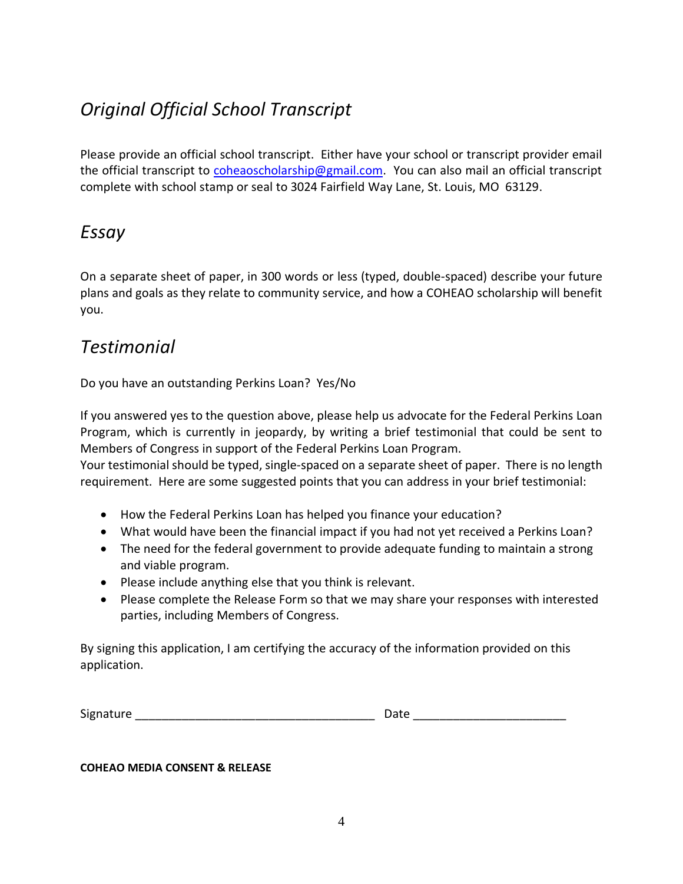# *Original Official School Transcript*

Please provide an official school transcript. Either have your school or transcript provider email the official transcript to [coheaoscholarship@gmail.com.](mailto:coheaoscholarship@gmail.com) You can also mail an official transcript complete with school stamp or seal to 3024 Fairfield Way Lane, St. Louis, MO 63129.

### *Essay*

On a separate sheet of paper, in 300 words or less (typed, double-spaced) describe your future plans and goals as they relate to community service, and how a COHEAO scholarship will benefit you.

#### *Testimonial*

Do you have an outstanding Perkins Loan? Yes/No

If you answered yes to the question above, please help us advocate for the Federal Perkins Loan Program, which is currently in jeopardy, by writing a brief testimonial that could be sent to Members of Congress in support of the Federal Perkins Loan Program.

Your testimonial should be typed, single-spaced on a separate sheet of paper. There is no length requirement. Here are some suggested points that you can address in your brief testimonial:

- How the Federal Perkins Loan has helped you finance your education?
- What would have been the financial impact if you had not yet received a Perkins Loan?
- The need for the federal government to provide adequate funding to maintain a strong and viable program.
- Please include anything else that you think is relevant.
- Please complete the Release Form so that we may share your responses with interested parties, including Members of Congress.

By signing this application, I am certifying the accuracy of the information provided on this application.

| Signature | Jate |
|-----------|------|
|           |      |

**COHEAO MEDIA CONSENT & RELEASE**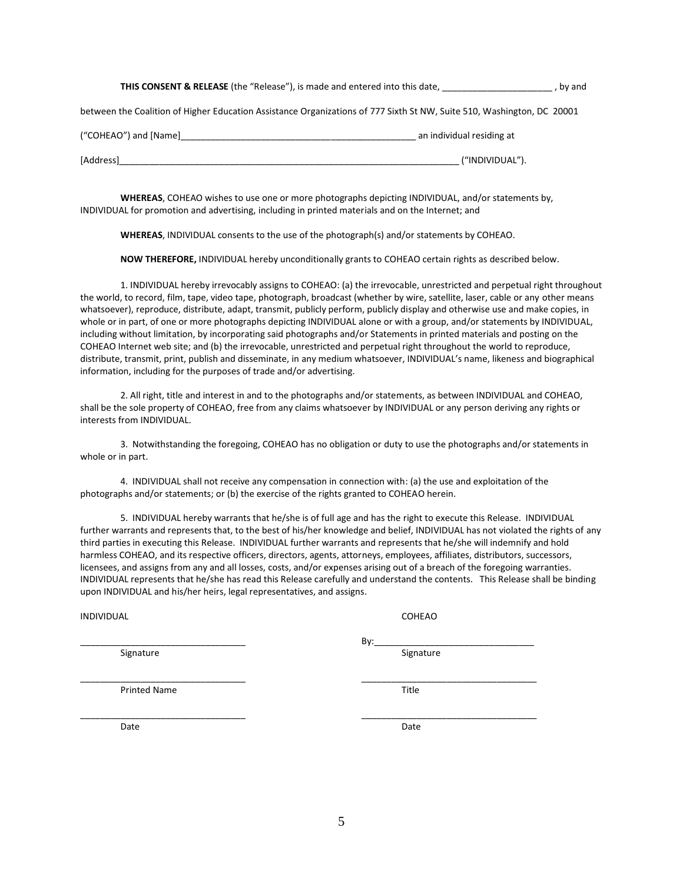|  | <b>THIS CONSENT &amp; RELEASE</b> (the "Release"), is made and entered into this date, | , by and |
|--|----------------------------------------------------------------------------------------|----------|
|  |                                                                                        |          |

between the Coalition of Higher Education Assistance Organizations of 777 Sixth St NW, Suite 510, Washington, DC 20001

| ("COHEAO") and [Name] | an individual residing at |
|-----------------------|---------------------------|
| [Address]             | ("INDIVIDUAL").           |

**WHEREAS**, COHEAO wishes to use one or more photographs depicting INDIVIDUAL, and/or statements by, INDIVIDUAL for promotion and advertising, including in printed materials and on the Internet; and

**WHEREAS**, INDIVIDUAL consents to the use of the photograph(s) and/or statements by COHEAO.

**NOW THEREFORE,** INDIVIDUAL hereby unconditionally grants to COHEAO certain rights as described below.

1. INDIVIDUAL hereby irrevocably assigns to COHEAO: (a) the irrevocable, unrestricted and perpetual right throughout the world, to record, film, tape, video tape, photograph, broadcast (whether by wire, satellite, laser, cable or any other means whatsoever), reproduce, distribute, adapt, transmit, publicly perform, publicly display and otherwise use and make copies, in whole or in part, of one or more photographs depicting INDIVIDUAL alone or with a group, and/or statements by INDIVIDUAL, including without limitation, by incorporating said photographs and/or Statements in printed materials and posting on the COHEAO Internet web site; and (b) the irrevocable, unrestricted and perpetual right throughout the world to reproduce, distribute, transmit, print, publish and disseminate, in any medium whatsoever, INDIVIDUAL's name, likeness and biographical information, including for the purposes of trade and/or advertising.

2. All right, title and interest in and to the photographs and/or statements, as between INDIVIDUAL and COHEAO, shall be the sole property of COHEAO, free from any claims whatsoever by INDIVIDUAL or any person deriving any rights or interests from INDIVIDUAL.

3. Notwithstanding the foregoing, COHEAO has no obligation or duty to use the photographs and/or statements in whole or in part.

4. INDIVIDUAL shall not receive any compensation in connection with: (a) the use and exploitation of the photographs and/or statements; or (b) the exercise of the rights granted to COHEAO herein.

5. INDIVIDUAL hereby warrants that he/she is of full age and has the right to execute this Release. INDIVIDUAL further warrants and represents that, to the best of his/her knowledge and belief, INDIVIDUAL has not violated the rights of any third parties in executing this Release. INDIVIDUAL further warrants and represents that he/she will indemnify and hold harmless COHEAO, and its respective officers, directors, agents, attorneys, employees, affiliates, distributors, successors, licensees, and assigns from any and all losses, costs, and/or expenses arising out of a breach of the foregoing warranties. INDIVIDUAL represents that he/she has read this Release carefully and understand the contents. This Release shall be binding upon INDIVIDUAL and his/her heirs, legal representatives, and assigns.

INDIVIDUAL COHEAO

Signature Signature Signature Signature Signature Signature Signature Signature Signature

\_\_\_\_\_\_\_\_\_\_\_\_\_\_\_\_\_\_\_\_\_\_\_\_\_\_\_\_\_\_\_\_\_ \_\_\_\_\_\_\_\_\_\_\_\_\_\_\_\_\_\_\_\_\_\_\_\_\_\_\_\_\_\_\_\_\_\_\_ Printed Name Title

\_\_\_\_\_\_\_\_\_\_\_\_\_\_\_\_\_\_\_\_\_\_\_\_\_\_\_\_\_\_\_\_\_ \_\_\_\_\_\_\_\_\_\_\_\_\_\_\_\_\_\_\_\_\_\_\_\_\_\_\_\_\_\_\_\_\_\_\_

\_\_\_\_\_\_\_\_\_\_\_\_\_\_\_\_\_\_\_\_\_\_\_\_\_\_\_\_\_\_\_\_\_ By:\_\_\_\_\_\_\_\_\_\_\_\_\_\_\_\_\_\_\_\_\_\_\_\_\_\_\_\_\_\_\_\_

Date **Date Date Date Date Date Date Date**